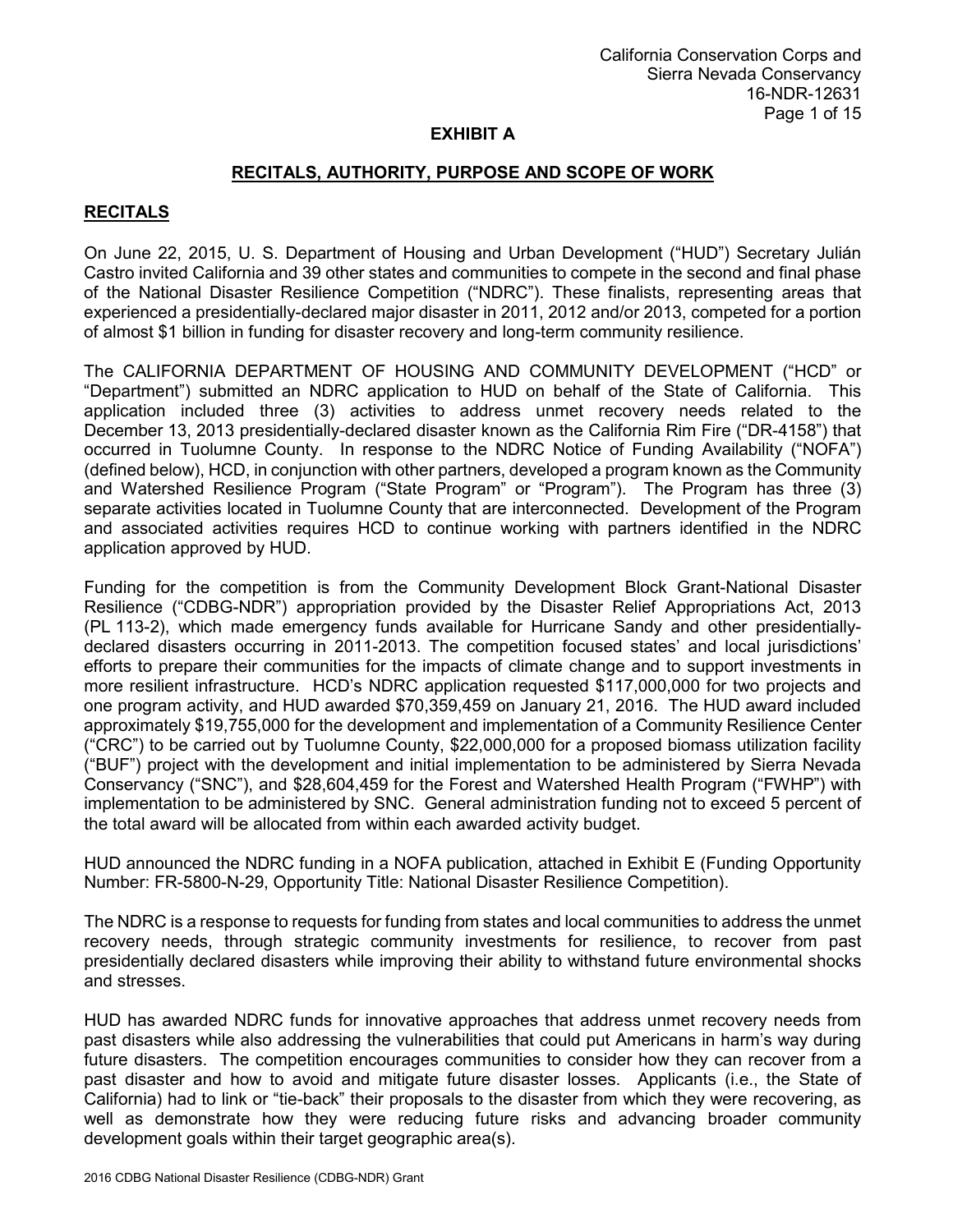## **RECITALS, AUTHORITY, PURPOSE AND SCOPE OF WORK**

# **RECITALS**

On June 22, 2015, U. S. Department of Housing and Urban Development ("HUD") Secretary Julián Castro invited California and 39 other states and communities to compete in the second and final phase of the National Disaster Resilience Competition ("NDRC"). These finalists, representing areas that experienced a presidentially-declared major disaster in 2011, 2012 and/or 2013, competed for a portion of almost \$1 billion in funding for disaster recovery and long-term community resilience.

The CALIFORNIA DEPARTMENT OF HOUSING AND COMMUNITY DEVELOPMENT ("HCD" or "Department") submitted an NDRC application to HUD on behalf of the State of California. This application included three (3) activities to address unmet recovery needs related to the December 13, 2013 presidentially-declared disaster known as the California Rim Fire ("DR-4158") that occurred in Tuolumne County. In response to the NDRC Notice of Funding Availability ("NOFA") (defined below), HCD, in conjunction with other partners, developed a program known as the Community and Watershed Resilience Program ("State Program" or "Program"). The Program has three (3) separate activities located in Tuolumne County that are interconnected. Development of the Program and associated activities requires HCD to continue working with partners identified in the NDRC application approved by HUD.

Funding for the competition is from the Community Development Block Grant-National Disaster Resilience ("CDBG-NDR") appropriation provided by the Disaster Relief Appropriations Act, 2013 (PL 113-2), which made emergency funds available for Hurricane Sandy and other presidentiallydeclared disasters occurring in 2011-2013. The competition focused states' and local jurisdictions' efforts to prepare their communities for the impacts of climate change and to support investments in more resilient infrastructure. HCD's NDRC application requested \$117,000,000 for two projects and one program activity, and HUD awarded \$70,359,459 on January 21, 2016. The HUD award included approximately \$19,755,000 for the development and implementation of a Community Resilience Center ("CRC") to be carried out by Tuolumne County, \$22,000,000 for a proposed biomass utilization facility ("BUF") project with the development and initial implementation to be administered by Sierra Nevada Conservancy ("SNC"), and \$28,604,459 for the Forest and Watershed Health Program ("FWHP") with implementation to be administered by SNC. General administration funding not to exceed 5 percent of the total award will be allocated from within each awarded activity budget.

HUD announced the NDRC funding in a NOFA publication, attached in Exhibit E (Funding Opportunity Number: FR-5800-N-29, Opportunity Title: National Disaster Resilience Competition).

The NDRC is a response to requests for funding from states and local communities to address the unmet recovery needs, through strategic community investments for resilience, to recover from past presidentially declared disasters while improving their ability to withstand future environmental shocks and stresses.

HUD has awarded NDRC funds for innovative approaches that address unmet recovery needs from past disasters while also addressing the vulnerabilities that could put Americans in harm's way during future disasters. The competition encourages communities to consider how they can recover from a past disaster and how to avoid and mitigate future disaster losses. Applicants (i.e., the State of California) had to link or "tie-back" their proposals to the disaster from which they were recovering, as well as demonstrate how they were reducing future risks and advancing broader community development goals within their target geographic area(s).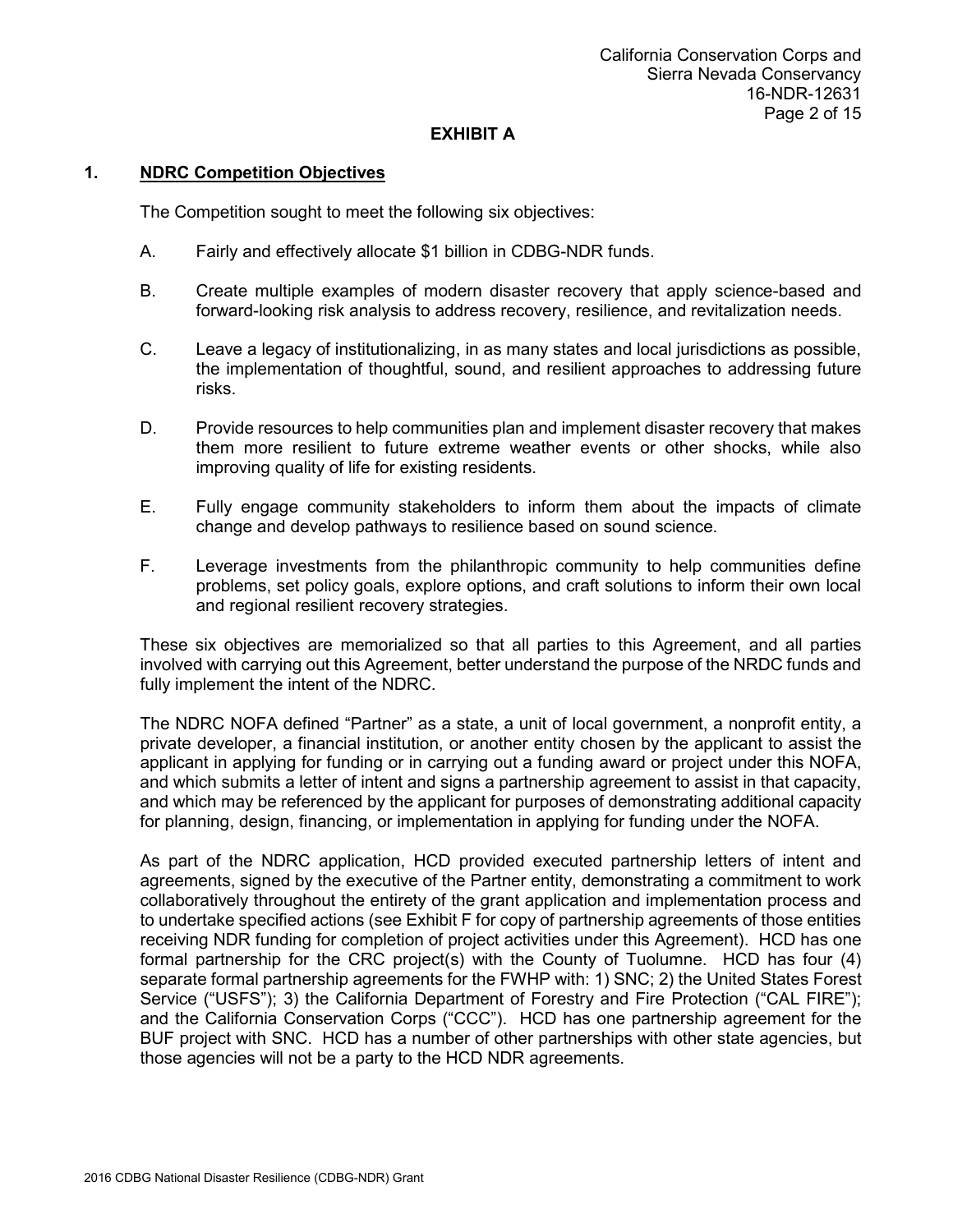## **1. NDRC Competition Objectives**

The Competition sought to meet the following six objectives:

- A. Fairly and effectively allocate \$1 billion in CDBG-NDR funds.
- B. Create multiple examples of modern disaster recovery that apply science-based and forward-looking risk analysis to address recovery, resilience, and revitalization needs.
- C. Leave a legacy of institutionalizing, in as many states and local jurisdictions as possible, the implementation of thoughtful, sound, and resilient approaches to addressing future risks.
- D. Provide resources to help communities plan and implement disaster recovery that makes them more resilient to future extreme weather events or other shocks, while also improving quality of life for existing residents.
- E. Fully engage community stakeholders to inform them about the impacts of climate change and develop pathways to resilience based on sound science.
- F. Leverage investments from the philanthropic community to help communities define problems, set policy goals, explore options, and craft solutions to inform their own local and regional resilient recovery strategies.

These six objectives are memorialized so that all parties to this Agreement, and all parties involved with carrying out this Agreement, better understand the purpose of the NRDC funds and fully implement the intent of the NDRC.

The NDRC NOFA defined "Partner" as a state, a unit of local government, a nonprofit entity, a private developer, a financial institution, or another entity chosen by the applicant to assist the applicant in applying for funding or in carrying out a funding award or project under this NOFA, and which submits a letter of intent and signs a partnership agreement to assist in that capacity, and which may be referenced by the applicant for purposes of demonstrating additional capacity for planning, design, financing, or implementation in applying for funding under the NOFA.

As part of the NDRC application, HCD provided executed partnership letters of intent and agreements, signed by the executive of the Partner entity, demonstrating a commitment to work collaboratively throughout the entirety of the grant application and implementation process and to undertake specified actions (see Exhibit F for copy of partnership agreements of those entities receiving NDR funding for completion of project activities under this Agreement). HCD has one formal partnership for the CRC project(s) with the County of Tuolumne. HCD has four (4) separate formal partnership agreements for the FWHP with: 1) SNC; 2) the United States Forest Service ("USFS"); 3) the California Department of Forestry and Fire Protection ("CAL FIRE"); and the California Conservation Corps ("CCC"). HCD has one partnership agreement for the BUF project with SNC. HCD has a number of other partnerships with other state agencies, but those agencies will not be a party to the HCD NDR agreements.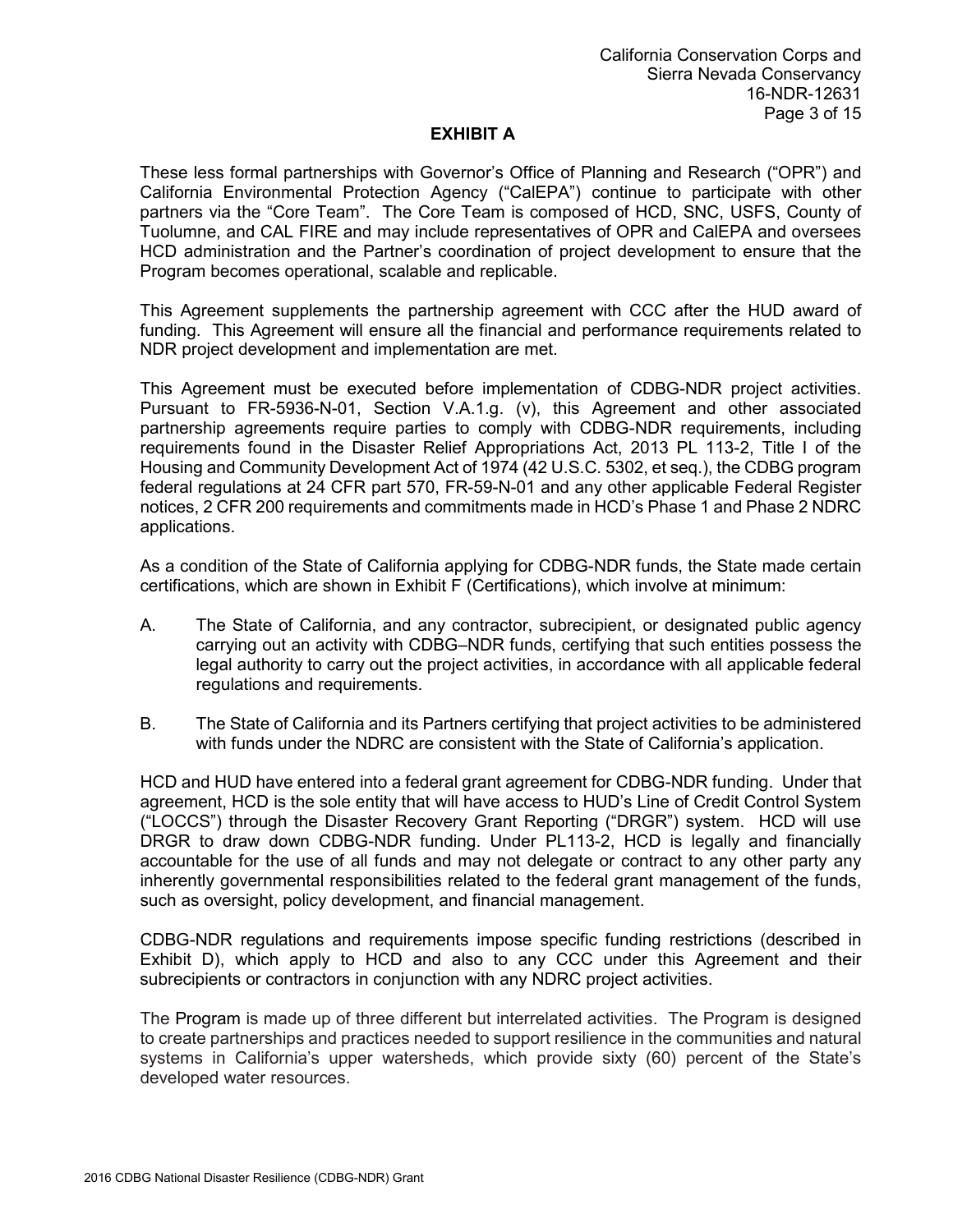These less formal partnerships with Governor's Office of Planning and Research ("OPR") and California Environmental Protection Agency ("CalEPA") continue to participate with other partners via the "Core Team". The Core Team is composed of HCD, SNC, USFS, County of Tuolumne, and CAL FIRE and may include representatives of OPR and CalEPA and oversees HCD administration and the Partner's coordination of project development to ensure that the Program becomes operational, scalable and replicable.

This Agreement supplements the partnership agreement with CCC after the HUD award of funding. This Agreement will ensure all the financial and performance requirements related to NDR project development and implementation are met.

This Agreement must be executed before implementation of CDBG-NDR project activities. Pursuant to FR-5936-N-01, Section V.A.1.g. (v), this Agreement and other associated partnership agreements require parties to comply with CDBG-NDR requirements, including requirements found in the Disaster Relief Appropriations Act, 2013 PL 113-2, Title I of the Housing and Community Development Act of 1974 (42 U.S.C. 5302, et seq.), the CDBG program federal regulations at 24 CFR part 570, FR-59-N-01 and any other applicable Federal Register notices, 2 CFR 200 requirements and commitments made in HCD's Phase 1 and Phase 2 NDRC applications.

As a condition of the State of California applying for CDBG-NDR funds, the State made certain certifications, which are shown in Exhibit F (Certifications), which involve at minimum:

- A. The State of California, and any contractor, subrecipient, or designated public agency carrying out an activity with CDBG–NDR funds, certifying that such entities possess the legal authority to carry out the project activities, in accordance with all applicable federal regulations and requirements.
- B. The State of California and its Partners certifying that project activities to be administered with funds under the NDRC are consistent with the State of California's application.

HCD and HUD have entered into a federal grant agreement for CDBG-NDR funding. Under that agreement, HCD is the sole entity that will have access to HUD's Line of Credit Control System ("LOCCS") through the Disaster Recovery Grant Reporting ("DRGR") system. HCD will use DRGR to draw down CDBG-NDR funding. Under PL113-2, HCD is legally and financially accountable for the use of all funds and may not delegate or contract to any other party any inherently governmental responsibilities related to the federal grant management of the funds, such as oversight, policy development, and financial management.

CDBG-NDR regulations and requirements impose specific funding restrictions (described in Exhibit D), which apply to HCD and also to any CCC under this Agreement and their subrecipients or contractors in conjunction with any NDRC project activities.

The Program is made up of three different but interrelated activities. The Program is designed to create partnerships and practices needed to support resilience in the communities and natural systems in California's upper watersheds, which provide sixty (60) percent of the State's developed water resources.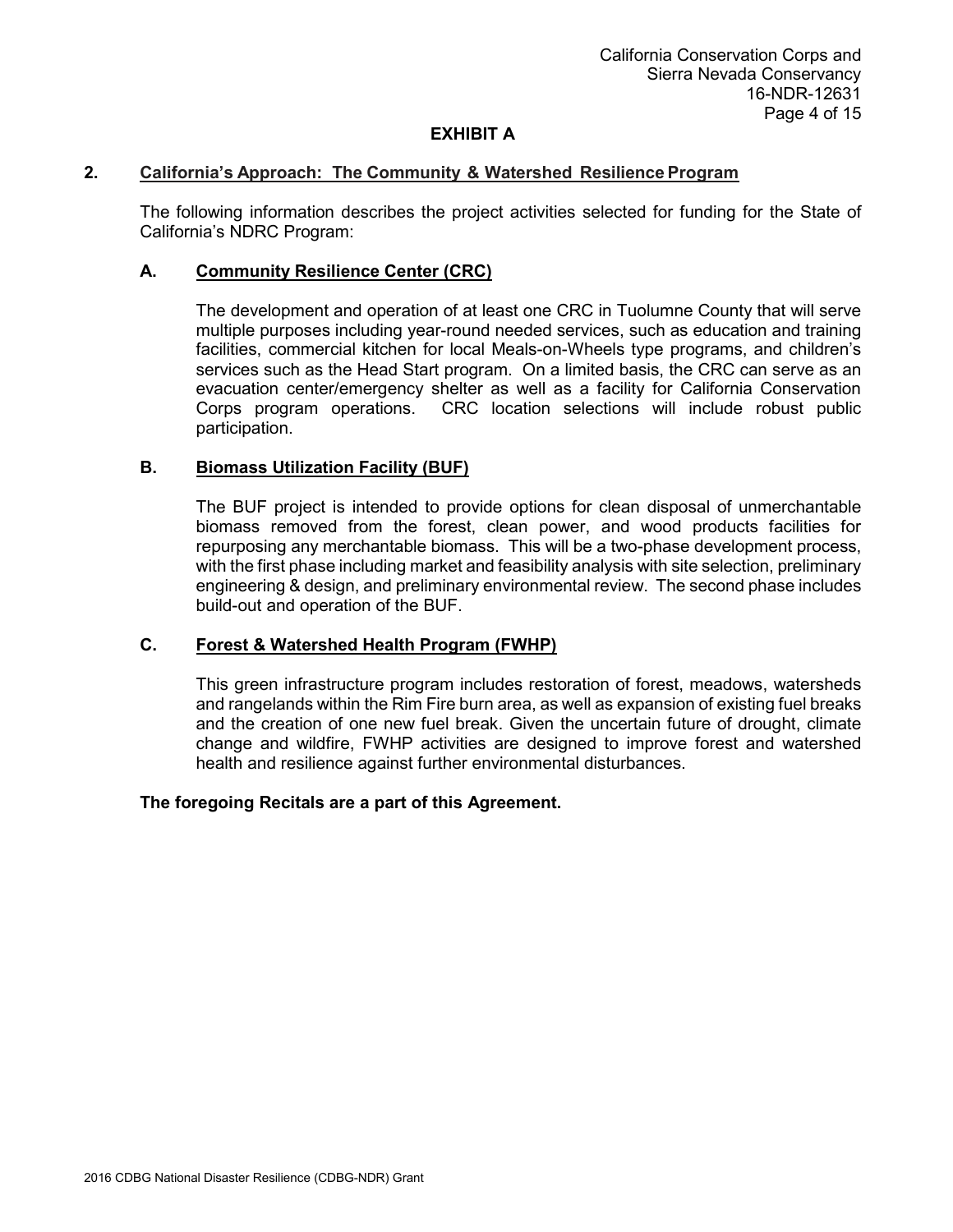### **2. California's Approach: The Community & Watershed Resilience Program**

The following information describes the project activities selected for funding for the State of California's NDRC Program:

## **A. Community Resilience Center (CRC)**

The development and operation of at least one CRC in Tuolumne County that will serve multiple purposes including year-round needed services, such as education and training facilities, commercial kitchen for local Meals-on-Wheels type programs, and children's services such as the Head Start program. On a limited basis, the CRC can serve as an evacuation center/emergency shelter as well as a facility for California Conservation Corps program operations. CRC location selections will include robust public participation.

## **B. Biomass Utilization Facility (BUF)**

The BUF project is intended to provide options for clean disposal of unmerchantable biomass removed from the forest, clean power, and wood products facilities for repurposing any merchantable biomass. This will be a two-phase development process, with the first phase including market and feasibility analysis with site selection, preliminary engineering & design, and preliminary environmental review. The second phase includes build-out and operation of the BUF.

### **C. Forest & Watershed Health Program (FWHP)**

This green infrastructure program includes restoration of forest, meadows, watersheds and rangelands within the Rim Fire burn area, as well as expansion of existing fuel breaks and the creation of one new fuel break. Given the uncertain future of drought, climate change and wildfire, FWHP activities are designed to improve forest and watershed health and resilience against further environmental disturbances.

### **The foregoing Recitals are a part of this Agreement.**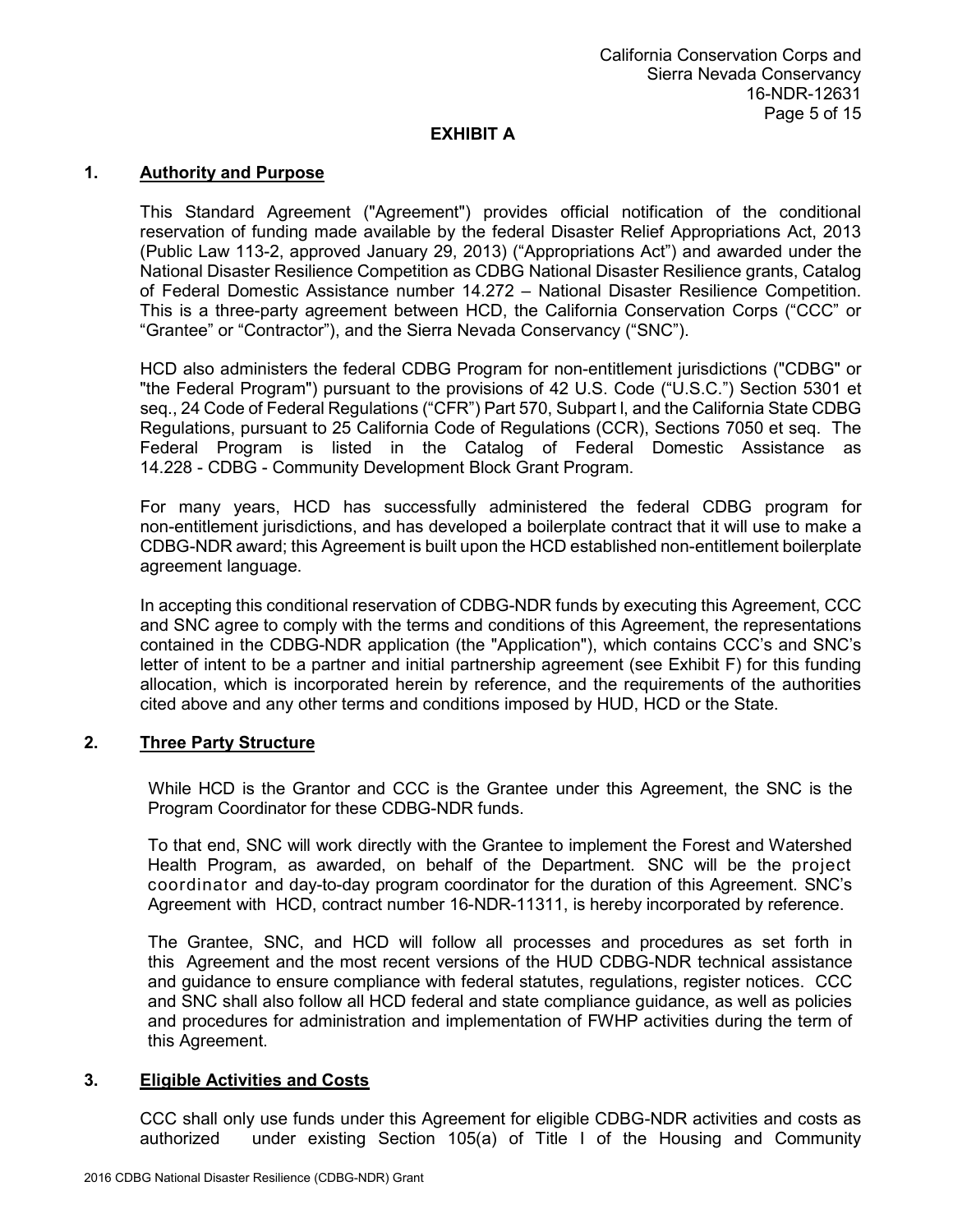# **1. Authority and Purpose**

This Standard Agreement ("Agreement") provides official notification of the conditional reservation of funding made available by the federal Disaster Relief Appropriations Act, 2013 (Public Law 113-2, approved January 29, 2013) ("Appropriations Act") and awarded under the National Disaster Resilience Competition as CDBG National Disaster Resilience grants, Catalog of Federal Domestic Assistance number 14.272 – National Disaster Resilience Competition. This is a three-party agreement between HCD, the California Conservation Corps ("CCC" or "Grantee" or "Contractor"), and the Sierra Nevada Conservancy ("SNC").

HCD also administers the federal CDBG Program for non-entitlement jurisdictions ("CDBG" or "the Federal Program") pursuant to the provisions of 42 U.S. Code ("U.S.C.") Section 5301 et seq., 24 Code of Federal Regulations ("CFR") Part 570, Subpart l, and the California State CDBG Regulations, pursuant to 25 California Code of Regulations (CCR), Sections 7050 et seq. The Federal Program is listed in the Catalog of Federal Domestic Assistance as 14.228 - CDBG - Community Development Block Grant Program.

For many years, HCD has successfully administered the federal CDBG program for non-entitlement jurisdictions, and has developed a boilerplate contract that it will use to make a CDBG-NDR award; this Agreement is built upon the HCD established non-entitlement boilerplate agreement language.

In accepting this conditional reservation of CDBG-NDR funds by executing this Agreement, CCC and SNC agree to comply with the terms and conditions of this Agreement, the representations contained in the CDBG-NDR application (the "Application"), which contains CCC's and SNC's letter of intent to be a partner and initial partnership agreement (see Exhibit F) for this funding allocation, which is incorporated herein by reference, and the requirements of the authorities cited above and any other terms and conditions imposed by HUD, HCD or the State.

### **2. Three Party Structure**

While HCD is the Grantor and CCC is the Grantee under this Agreement, the SNC is the Program Coordinator for these CDBG-NDR funds.

To that end, SNC will work directly with the Grantee to implement the Forest and Watershed Health Program, as awarded, on behalf of the Department. SNC will be the project coordinator and day-to-day program coordinator for the duration of this Agreement. SNC's Agreement with HCD, contract number 16-NDR-11311, is hereby incorporated by reference.

The Grantee, SNC, and HCD will follow all processes and procedures as set forth in this Agreement and the most recent versions of the HUD CDBG-NDR technical assistance and guidance to ensure compliance with federal statutes, regulations, register notices. CCC and SNC shall also follow all HCD federal and state compliance guidance, as well as policies and procedures for administration and implementation of FWHP activities during the term of this Agreement.

## **3. Eligible Activities and Costs**

CCC shall only use funds under this Agreement for eligible CDBG-NDR activities and costs as authorized under existing Section 105(a) of Title I of the Housing and Community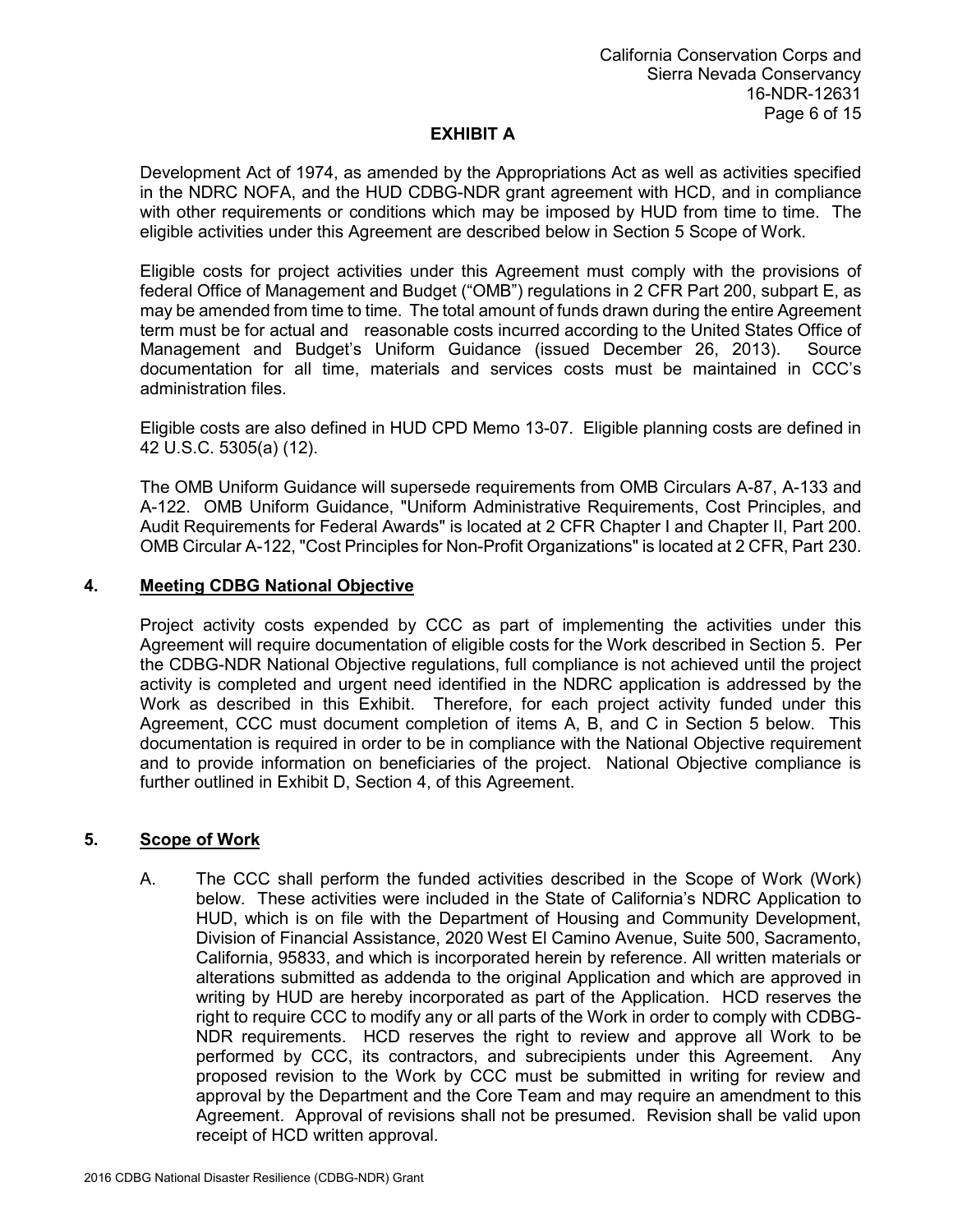Development Act of 1974, as amended by the Appropriations Act as well as activities specified in the NDRC NOFA, and the HUD CDBG-NDR grant agreement with HCD, and in compliance with other requirements or conditions which may be imposed by HUD from time to time. The eligible activities under this Agreement are described below in Section 5 Scope of Work.

Eligible costs for project activities under this Agreement must comply with the provisions of federal Office of Management and Budget ("OMB") regulations in 2 CFR Part 200, subpart E, as may be amended from time to time. The total amount of funds drawn during the entire Agreement term must be for actual and reasonable costs incurred according to the United States Office of Management and Budget's Uniform Guidance (issued December 26, 2013). Source documentation for all time, materials and services costs must be maintained in CCC's administration files.

Eligible costs are also defined in HUD CPD Memo 13-07. Eligible planning costs are defined in 42 U.S.C. 5305(a) (12).

The OMB Uniform Guidance will supersede requirements from OMB Circulars A-87, A-133 and A-122. OMB Uniform Guidance, "Uniform Administrative Requirements, Cost Principles, and Audit Requirements for Federal Awards" is located at 2 CFR Chapter I and Chapter II, Part 200. OMB Circular A-122, "Cost Principles for Non-Profit Organizations" is located at 2 CFR, Part 230.

### **4. Meeting CDBG National Objective**

Project activity costs expended by CCC as part of implementing the activities under this Agreement will require documentation of eligible costs for the Work described in Section 5. Per the CDBG-NDR National Objective regulations, full compliance is not achieved until the project activity is completed and urgent need identified in the NDRC application is addressed by the Work as described in this Exhibit. Therefore, for each project activity funded under this Agreement, CCC must document completion of items A, B, and C in Section 5 below. This documentation is required in order to be in compliance with the National Objective requirement and to provide information on beneficiaries of the project. National Objective compliance is further outlined in Exhibit D, Section 4, of this Agreement.

### **5. Scope of Work**

A. The CCC shall perform the funded activities described in the Scope of Work (Work) below. These activities were included in the State of California's NDRC Application to HUD, which is on file with the Department of Housing and Community Development, Division of Financial Assistance, 2020 West El Camino Avenue, Suite 500, Sacramento, California, 95833, and which is incorporated herein by reference. All written materials or alterations submitted as addenda to the original Application and which are approved in writing by HUD are hereby incorporated as part of the Application. HCD reserves the right to require CCC to modify any or all parts of the Work in order to comply with CDBG-NDR requirements. HCD reserves the right to review and approve all Work to be performed by CCC, its contractors, and subrecipients under this Agreement. Any proposed revision to the Work by CCC must be submitted in writing for review and approval by the Department and the Core Team and may require an amendment to this Agreement. Approval of revisions shall not be presumed. Revision shall be valid upon receipt of HCD written approval.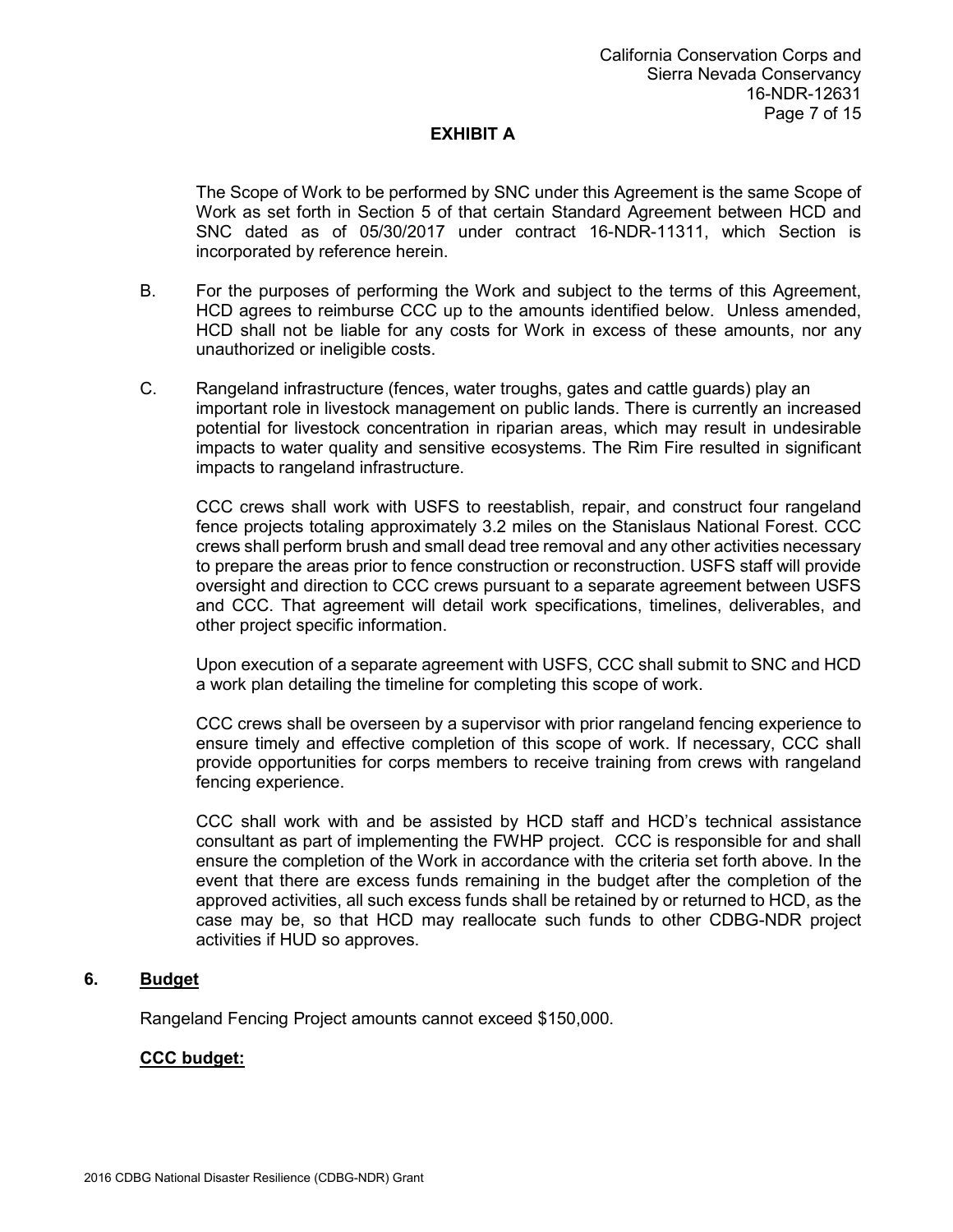The Scope of Work to be performed by SNC under this Agreement is the same Scope of Work as set forth in Section 5 of that certain Standard Agreement between HCD and SNC dated as of 05/30/2017 under contract 16-NDR-11311, which Section is incorporated by reference herein.

- B. For the purposes of performing the Work and subject to the terms of this Agreement, HCD agrees to reimburse CCC up to the amounts identified below. Unless amended, HCD shall not be liable for any costs for Work in excess of these amounts, nor any unauthorized or ineligible costs.
- C. Rangeland infrastructure (fences, water troughs, gates and cattle guards) play an important role in livestock management on public lands. There is currently an increased potential for livestock concentration in riparian areas, which may result in undesirable impacts to water quality and sensitive ecosystems. The Rim Fire resulted in significant impacts to rangeland infrastructure.

CCC crews shall work with USFS to reestablish, repair, and construct four rangeland fence projects totaling approximately 3.2 miles on the Stanislaus National Forest. CCC crews shall perform brush and small dead tree removal and any other activities necessary to prepare the areas prior to fence construction or reconstruction. USFS staff will provide oversight and direction to CCC crews pursuant to a separate agreement between USFS and CCC. That agreement will detail work specifications, timelines, deliverables, and other project specific information.

Upon execution of a separate agreement with USFS, CCC shall submit to SNC and HCD a work plan detailing the timeline for completing this scope of work.

CCC crews shall be overseen by a supervisor with prior rangeland fencing experience to ensure timely and effective completion of this scope of work. If necessary, CCC shall provide opportunities for corps members to receive training from crews with rangeland fencing experience.

CCC shall work with and be assisted by HCD staff and HCD's technical assistance consultant as part of implementing the FWHP project. CCC is responsible for and shall ensure the completion of the Work in accordance with the criteria set forth above. In the event that there are excess funds remaining in the budget after the completion of the approved activities, all such excess funds shall be retained by or returned to HCD, as the case may be, so that HCD may reallocate such funds to other CDBG-NDR project activities if HUD so approves.

# **6. Budget**

Rangeland Fencing Project amounts cannot exceed \$150,000.

### **CCC budget:**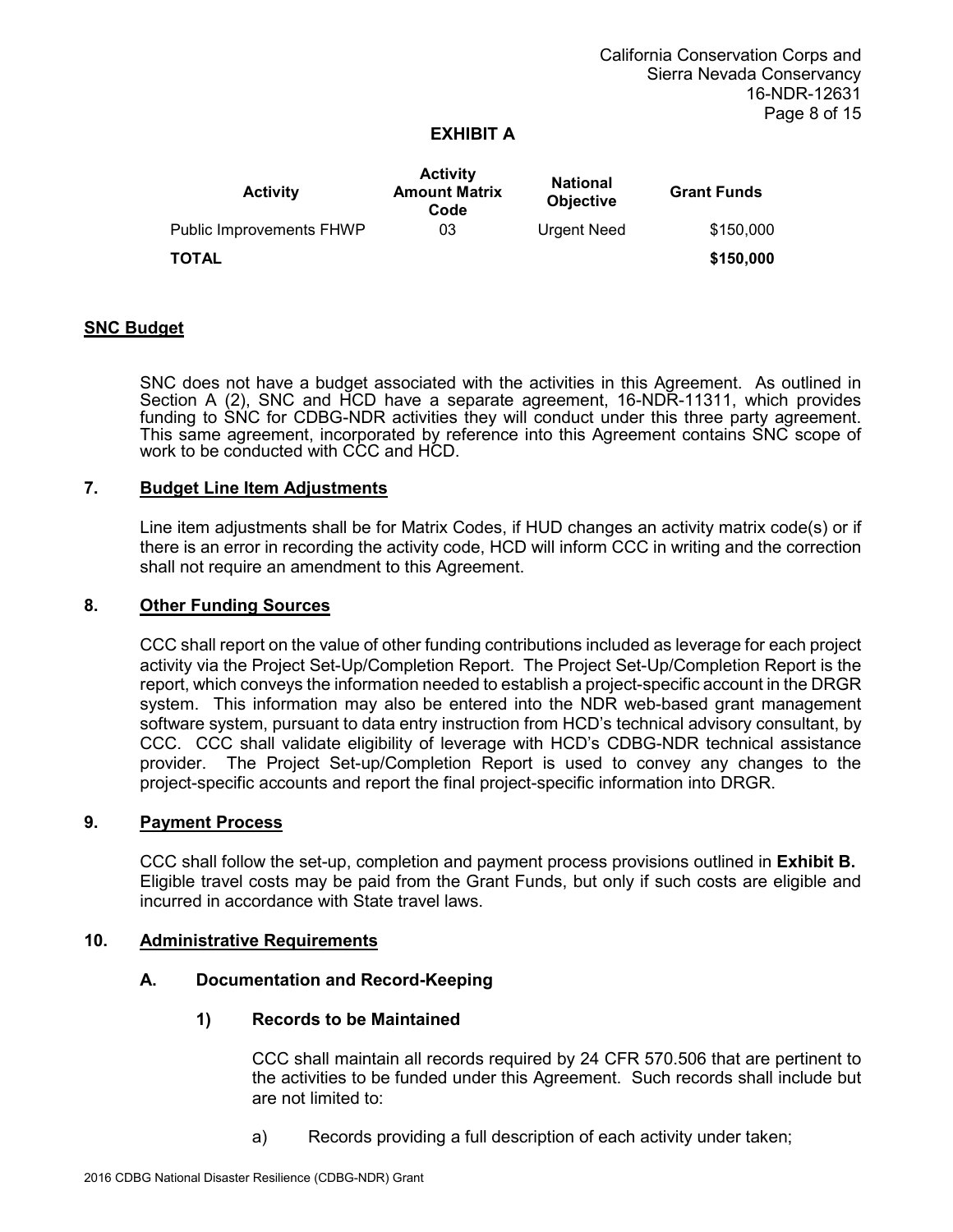| <b>Activity</b>          | <b>Activity</b><br><b>Amount Matrix</b><br>Code | <b>National</b><br><b>Objective</b> | <b>Grant Funds</b> |
|--------------------------|-------------------------------------------------|-------------------------------------|--------------------|
| Public Improvements FHWP | 03                                              | <b>Urgent Need</b>                  | \$150,000          |
| TOTAL                    |                                                 |                                     | \$150,000          |

#### **SNC Budget**

SNC does not have a budget associated with the activities in this Agreement. As outlined in Section A (2), SNC and HCD have a separate agreement, 16-NDR-11311, which provides funding to SNC for CDBG-NDR activities they will conduct under this three party agreement. This same agreement, incorporated by reference into this Agreement contains SNC scope of work to be conducted with CCC and HCD.

#### **7. Budget Line Item Adjustments**

Line item adjustments shall be for Matrix Codes, if HUD changes an activity matrix code(s) or if there is an error in recording the activity code, HCD will inform CCC in writing and the correction shall not require an amendment to this Agreement.

#### **8. Other Funding Sources**

CCC shall report on the value of other funding contributions included as leverage for each project activity via the Project Set-Up/Completion Report. The Project Set-Up/Completion Report is the report, which conveys the information needed to establish a project-specific account in the DRGR system. This information may also be entered into the NDR web-based grant management software system, pursuant to data entry instruction from HCD's technical advisory consultant, by CCC. CCC shall validate eligibility of leverage with HCD's CDBG-NDR technical assistance provider. The Project Set-up/Completion Report is used to convey any changes to the project-specific accounts and report the final project-specific information into DRGR.

#### **9. Payment Process**

CCC shall follow the set-up, completion and payment process provisions outlined in **Exhibit B.** Eligible travel costs may be paid from the Grant Funds, but only if such costs are eligible and incurred in accordance with State travel laws.

#### **10. Administrative Requirements**

### **A. Documentation and Record-Keeping**

### **1) Records to be Maintained**

CCC shall maintain all records required by 24 CFR 570.506 that are pertinent to the activities to be funded under this Agreement. Such records shall include but are not limited to:

a) Records providing a full description of each activity under taken;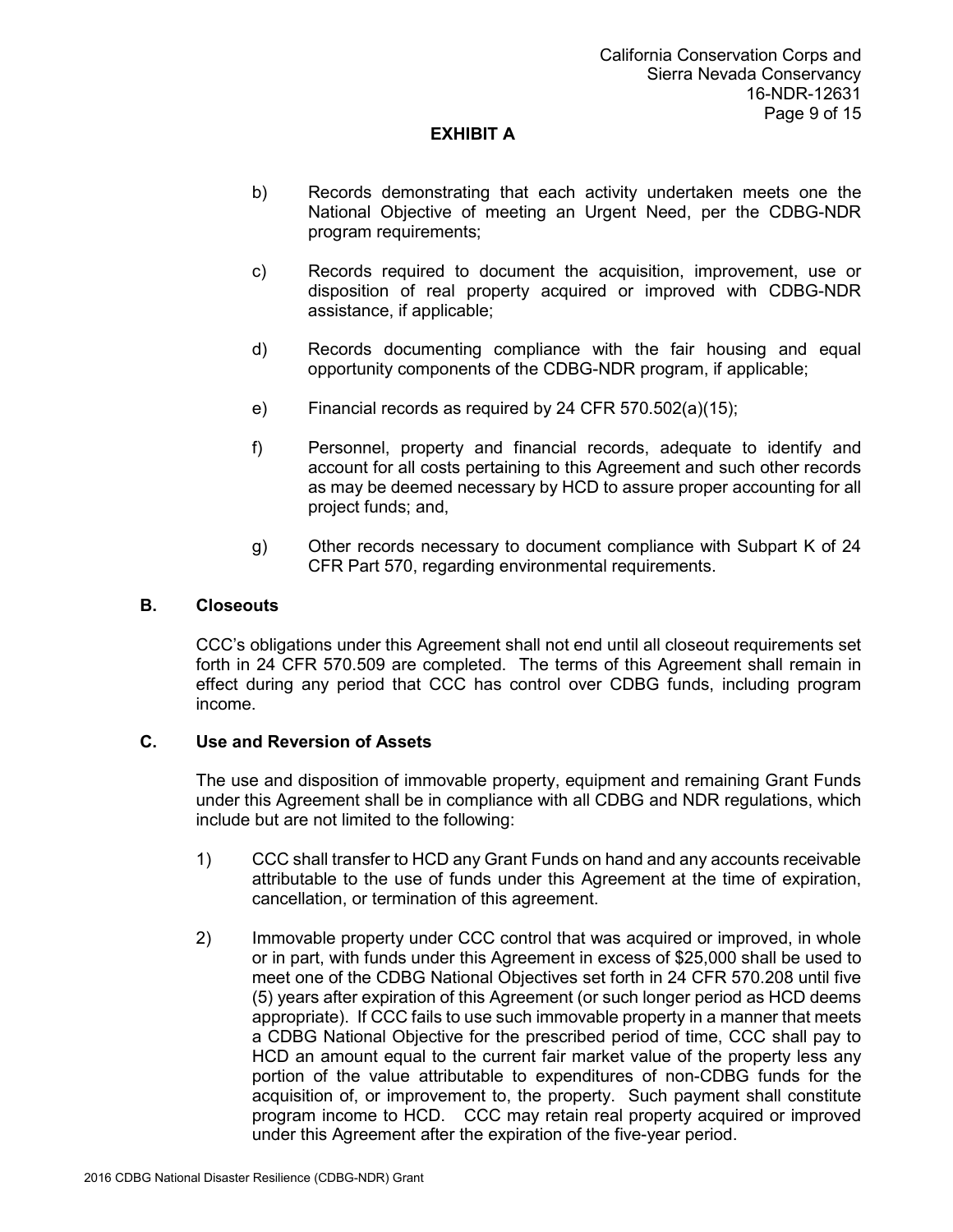- b) Records demonstrating that each activity undertaken meets one the National Objective of meeting an Urgent Need, per the CDBG-NDR program requirements;
- c) Records required to document the acquisition, improvement, use or disposition of real property acquired or improved with CDBG-NDR assistance, if applicable;
- d) Records documenting compliance with the fair housing and equal opportunity components of the CDBG-NDR program, if applicable;
- e) Financial records as required by 24 CFR 570.502(a)(15);
- f) Personnel, property and financial records, adequate to identify and account for all costs pertaining to this Agreement and such other records as may be deemed necessary by HCD to assure proper accounting for all project funds; and,
- g) Other records necessary to document compliance with Subpart K of 24 CFR Part 570, regarding environmental requirements.

### **B. Closeouts**

CCC's obligations under this Agreement shall not end until all closeout requirements set forth in 24 CFR 570.509 are completed. The terms of this Agreement shall remain in effect during any period that CCC has control over CDBG funds, including program income.

### **C. Use and Reversion of Assets**

The use and disposition of immovable property, equipment and remaining Grant Funds under this Agreement shall be in compliance with all CDBG and NDR regulations, which include but are not limited to the following:

- 1) CCC shall transfer to HCD any Grant Funds on hand and any accounts receivable attributable to the use of funds under this Agreement at the time of expiration, cancellation, or termination of this agreement.
- 2) Immovable property under CCC control that was acquired or improved, in whole or in part, with funds under this Agreement in excess of \$25,000 shall be used to meet one of the CDBG National Objectives set forth in 24 CFR 570.208 until five (5) years after expiration of this Agreement (or such longer period as HCD deems appropriate). If CCC fails to use such immovable property in a manner that meets a CDBG National Objective for the prescribed period of time, CCC shall pay to HCD an amount equal to the current fair market value of the property less any portion of the value attributable to expenditures of non-CDBG funds for the acquisition of, or improvement to, the property. Such payment shall constitute program income to HCD. CCC may retain real property acquired or improved under this Agreement after the expiration of the five-year period.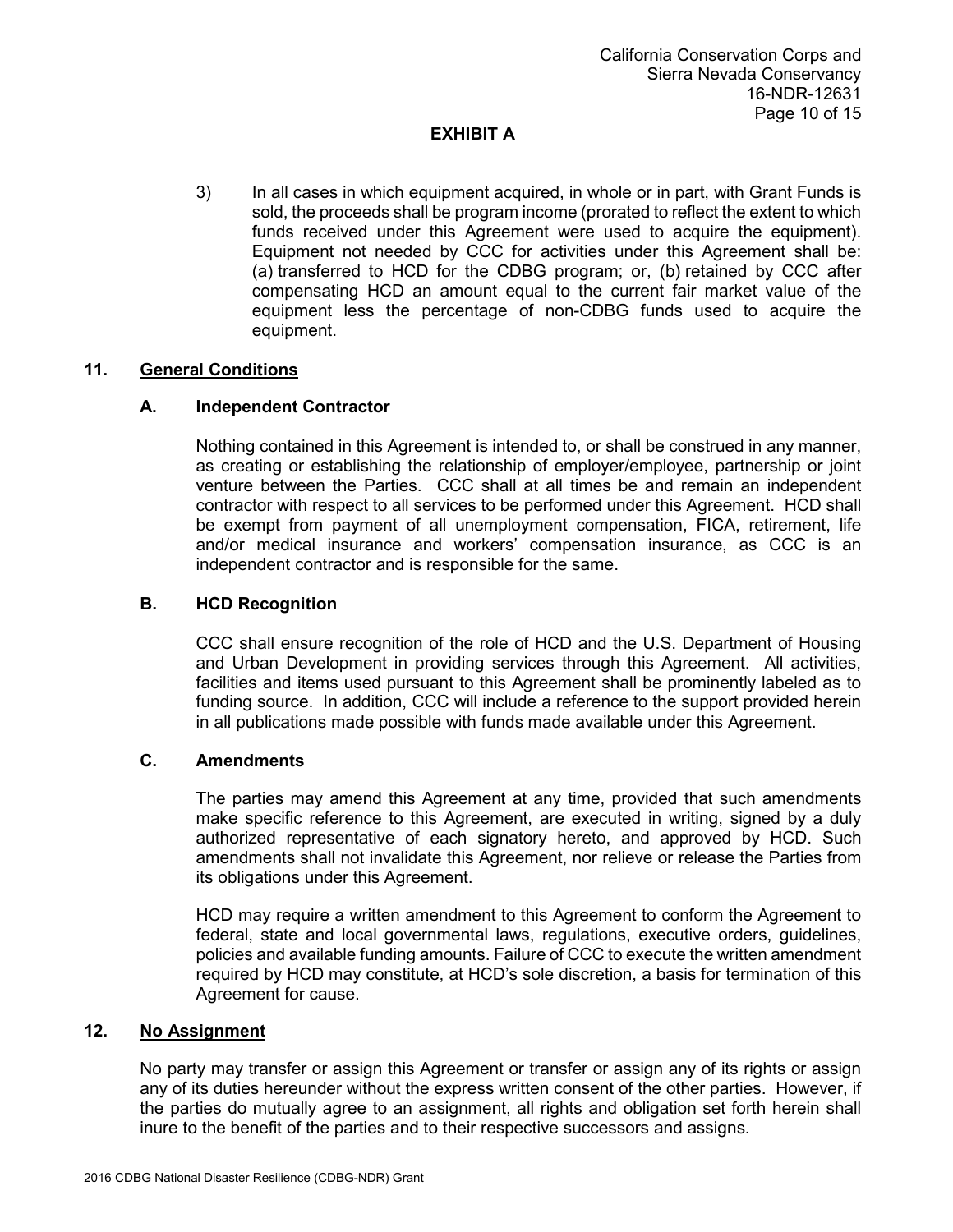3) In all cases in which equipment acquired, in whole or in part, with Grant Funds is sold, the proceeds shall be program income (prorated to reflect the extent to which funds received under this Agreement were used to acquire the equipment). Equipment not needed by CCC for activities under this Agreement shall be: (a) transferred to HCD for the CDBG program; or, (b) retained by CCC after compensating HCD an amount equal to the current fair market value of the equipment less the percentage of non-CDBG funds used to acquire the equipment.

# **11. General Conditions**

## **A. Independent Contractor**

Nothing contained in this Agreement is intended to, or shall be construed in any manner, as creating or establishing the relationship of employer/employee, partnership or joint venture between the Parties. CCC shall at all times be and remain an independent contractor with respect to all services to be performed under this Agreement. HCD shall be exempt from payment of all unemployment compensation, FICA, retirement, life and/or medical insurance and workers' compensation insurance, as CCC is an independent contractor and is responsible for the same.

## **B. HCD Recognition**

CCC shall ensure recognition of the role of HCD and the U.S. Department of Housing and Urban Development in providing services through this Agreement. All activities, facilities and items used pursuant to this Agreement shall be prominently labeled as to funding source. In addition, CCC will include a reference to the support provided herein in all publications made possible with funds made available under this Agreement.

### **C. Amendments**

The parties may amend this Agreement at any time, provided that such amendments make specific reference to this Agreement, are executed in writing, signed by a duly authorized representative of each signatory hereto, and approved by HCD. Such amendments shall not invalidate this Agreement, nor relieve or release the Parties from its obligations under this Agreement.

HCD may require a written amendment to this Agreement to conform the Agreement to federal, state and local governmental laws, regulations, executive orders, guidelines, policies and available funding amounts. Failure of CCC to execute the written amendment required by HCD may constitute, at HCD's sole discretion, a basis for termination of this Agreement for cause.

### **12. No Assignment**

No party may transfer or assign this Agreement or transfer or assign any of its rights or assign any of its duties hereunder without the express written consent of the other parties. However, if the parties do mutually agree to an assignment, all rights and obligation set forth herein shall inure to the benefit of the parties and to their respective successors and assigns.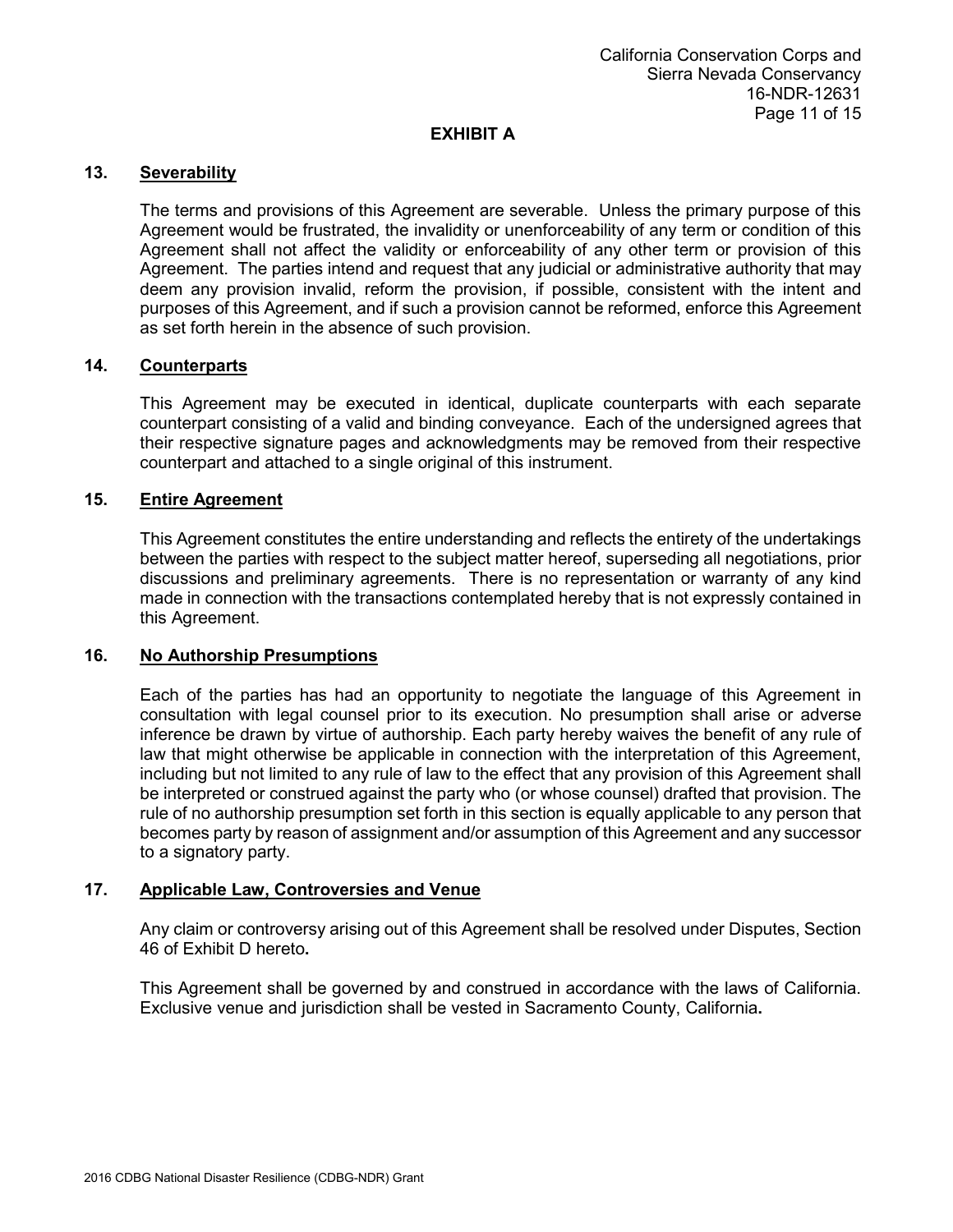## **13. Severability**

The terms and provisions of this Agreement are severable. Unless the primary purpose of this Agreement would be frustrated, the invalidity or unenforceability of any term or condition of this Agreement shall not affect the validity or enforceability of any other term or provision of this Agreement. The parties intend and request that any judicial or administrative authority that may deem any provision invalid, reform the provision, if possible, consistent with the intent and purposes of this Agreement, and if such a provision cannot be reformed, enforce this Agreement as set forth herein in the absence of such provision.

## **14. Counterparts**

This Agreement may be executed in identical, duplicate counterparts with each separate counterpart consisting of a valid and binding conveyance. Each of the undersigned agrees that their respective signature pages and acknowledgments may be removed from their respective counterpart and attached to a single original of this instrument.

## **15. Entire Agreement**

This Agreement constitutes the entire understanding and reflects the entirety of the undertakings between the parties with respect to the subject matter hereof, superseding all negotiations, prior discussions and preliminary agreements. There is no representation or warranty of any kind made in connection with the transactions contemplated hereby that is not expressly contained in this Agreement.

### **16. No Authorship Presumptions**

Each of the parties has had an opportunity to negotiate the language of this Agreement in consultation with legal counsel prior to its execution. No presumption shall arise or adverse inference be drawn by virtue of authorship. Each party hereby waives the benefit of any rule of law that might otherwise be applicable in connection with the interpretation of this Agreement, including but not limited to any rule of law to the effect that any provision of this Agreement shall be interpreted or construed against the party who (or whose counsel) drafted that provision. The rule of no authorship presumption set forth in this section is equally applicable to any person that becomes party by reason of assignment and/or assumption of this Agreement and any successor to a signatory party.

## **17. Applicable Law, Controversies and Venue**

Any claim or controversy arising out of this Agreement shall be resolved under Disputes, Section 46 of Exhibit D hereto**.**

This Agreement shall be governed by and construed in accordance with the laws of California. Exclusive venue and jurisdiction shall be vested in Sacramento County, California**.**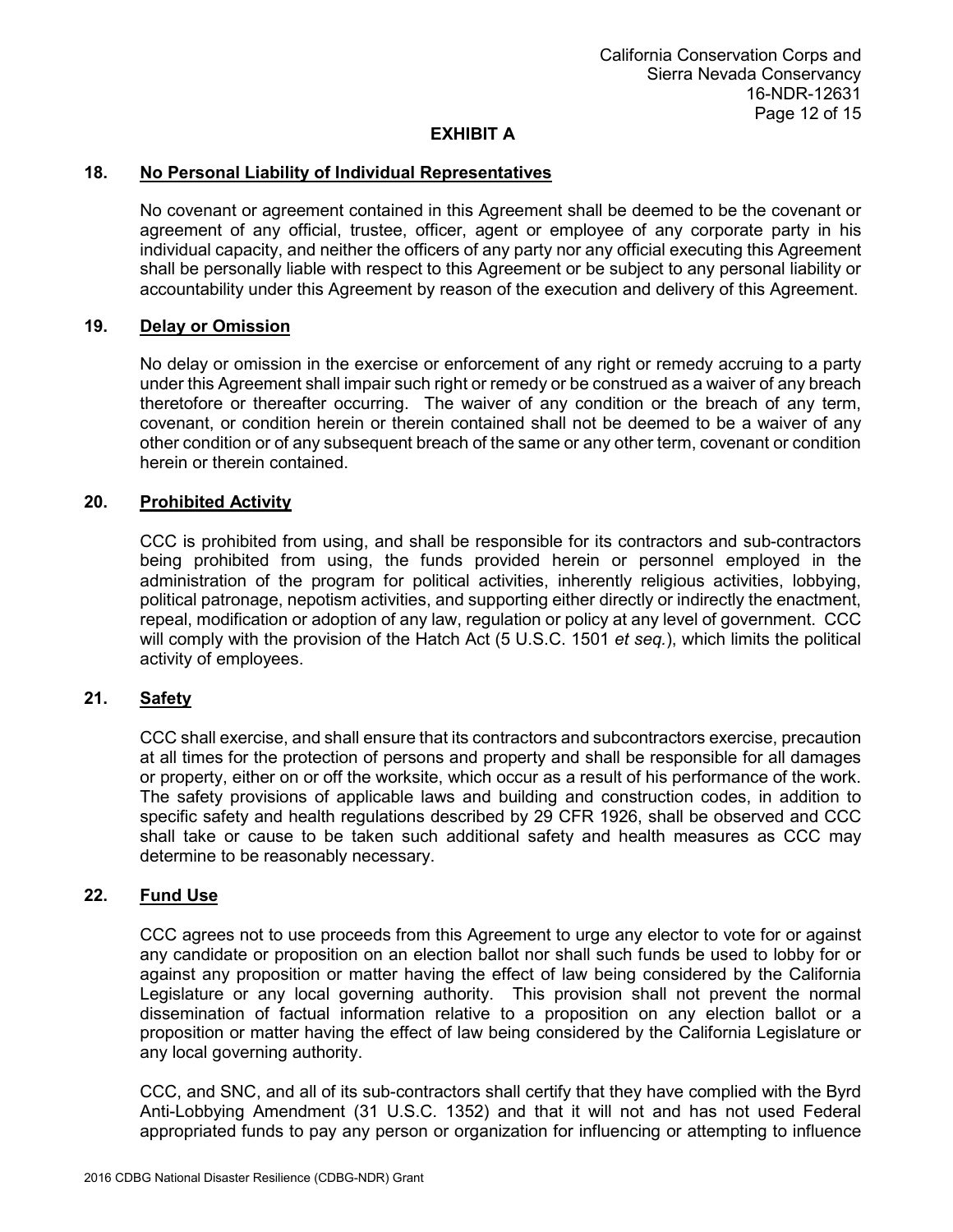### **18. No Personal Liability of Individual Representatives**

No covenant or agreement contained in this Agreement shall be deemed to be the covenant or agreement of any official, trustee, officer, agent or employee of any corporate party in his individual capacity, and neither the officers of any party nor any official executing this Agreement shall be personally liable with respect to this Agreement or be subject to any personal liability or accountability under this Agreement by reason of the execution and delivery of this Agreement.

### **19. Delay or Omission**

No delay or omission in the exercise or enforcement of any right or remedy accruing to a party under this Agreement shall impair such right or remedy or be construed as a waiver of any breach theretofore or thereafter occurring. The waiver of any condition or the breach of any term, covenant, or condition herein or therein contained shall not be deemed to be a waiver of any other condition or of any subsequent breach of the same or any other term, covenant or condition herein or therein contained.

#### **20. Prohibited Activity**

CCC is prohibited from using, and shall be responsible for its contractors and sub-contractors being prohibited from using, the funds provided herein or personnel employed in the administration of the program for political activities, inherently religious activities, lobbying, political patronage, nepotism activities, and supporting either directly or indirectly the enactment, repeal, modification or adoption of any law, regulation or policy at any level of government. CCC will comply with the provision of the Hatch Act (5 U.S.C. 1501 *et seq.*), which limits the political activity of employees.

#### **21. Safety**

CCC shall exercise, and shall ensure that its contractors and subcontractors exercise, precaution at all times for the protection of persons and property and shall be responsible for all damages or property, either on or off the worksite, which occur as a result of his performance of the work. The safety provisions of applicable laws and building and construction codes, in addition to specific safety and health regulations described by 29 CFR 1926, shall be observed and CCC shall take or cause to be taken such additional safety and health measures as CCC may determine to be reasonably necessary.

#### **22. Fund Use**

CCC agrees not to use proceeds from this Agreement to urge any elector to vote for or against any candidate or proposition on an election ballot nor shall such funds be used to lobby for or against any proposition or matter having the effect of law being considered by the California Legislature or any local governing authority. This provision shall not prevent the normal dissemination of factual information relative to a proposition on any election ballot or a proposition or matter having the effect of law being considered by the California Legislature or any local governing authority.

CCC, and SNC, and all of its sub-contractors shall certify that they have complied with the Byrd Anti-Lobbying Amendment (31 U.S.C. 1352) and that it will not and has not used Federal appropriated funds to pay any person or organization for influencing or attempting to influence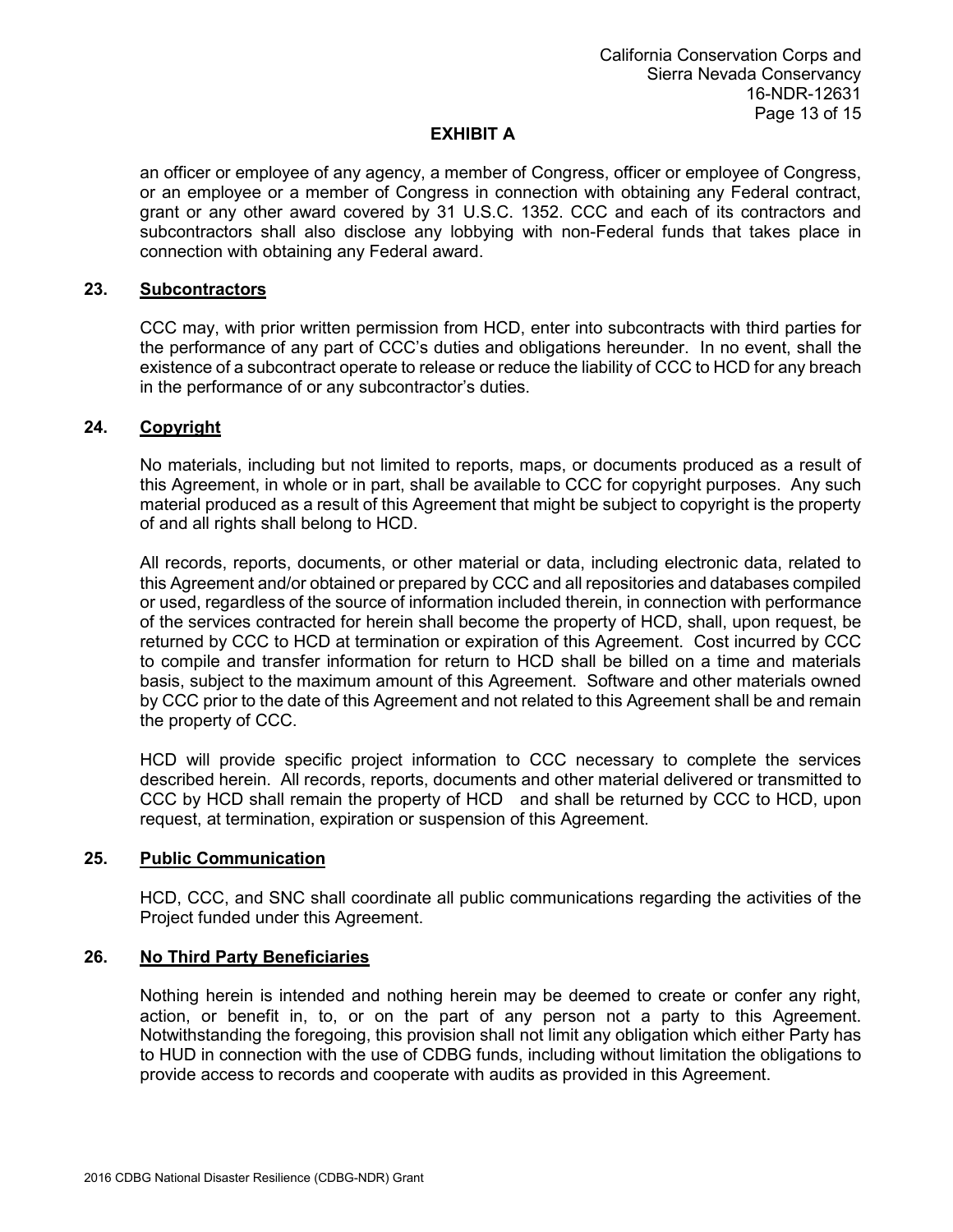an officer or employee of any agency, a member of Congress, officer or employee of Congress, or an employee or a member of Congress in connection with obtaining any Federal contract, grant or any other award covered by 31 U.S.C. 1352. CCC and each of its contractors and subcontractors shall also disclose any lobbying with non-Federal funds that takes place in connection with obtaining any Federal award.

### **23. Subcontractors**

CCC may, with prior written permission from HCD, enter into subcontracts with third parties for the performance of any part of CCC's duties and obligations hereunder. In no event, shall the existence of a subcontract operate to release or reduce the liability of CCC to HCD for any breach in the performance of or any subcontractor's duties.

## **24. Copyright**

No materials, including but not limited to reports, maps, or documents produced as a result of this Agreement, in whole or in part, shall be available to CCC for copyright purposes. Any such material produced as a result of this Agreement that might be subject to copyright is the property of and all rights shall belong to HCD.

All records, reports, documents, or other material or data, including electronic data, related to this Agreement and/or obtained or prepared by CCC and all repositories and databases compiled or used, regardless of the source of information included therein, in connection with performance of the services contracted for herein shall become the property of HCD, shall, upon request, be returned by CCC to HCD at termination or expiration of this Agreement. Cost incurred by CCC to compile and transfer information for return to HCD shall be billed on a time and materials basis, subject to the maximum amount of this Agreement. Software and other materials owned by CCC prior to the date of this Agreement and not related to this Agreement shall be and remain the property of CCC.

HCD will provide specific project information to CCC necessary to complete the services described herein. All records, reports, documents and other material delivered or transmitted to CCC by HCD shall remain the property of HCD and shall be returned by CCC to HCD, upon request, at termination, expiration or suspension of this Agreement.

### **25. Public Communication**

HCD, CCC, and SNC shall coordinate all public communications regarding the activities of the Project funded under this Agreement.

### **26. No Third Party Beneficiaries**

Nothing herein is intended and nothing herein may be deemed to create or confer any right, action, or benefit in, to, or on the part of any person not a party to this Agreement. Notwithstanding the foregoing, this provision shall not limit any obligation which either Party has to HUD in connection with the use of CDBG funds, including without limitation the obligations to provide access to records and cooperate with audits as provided in this Agreement.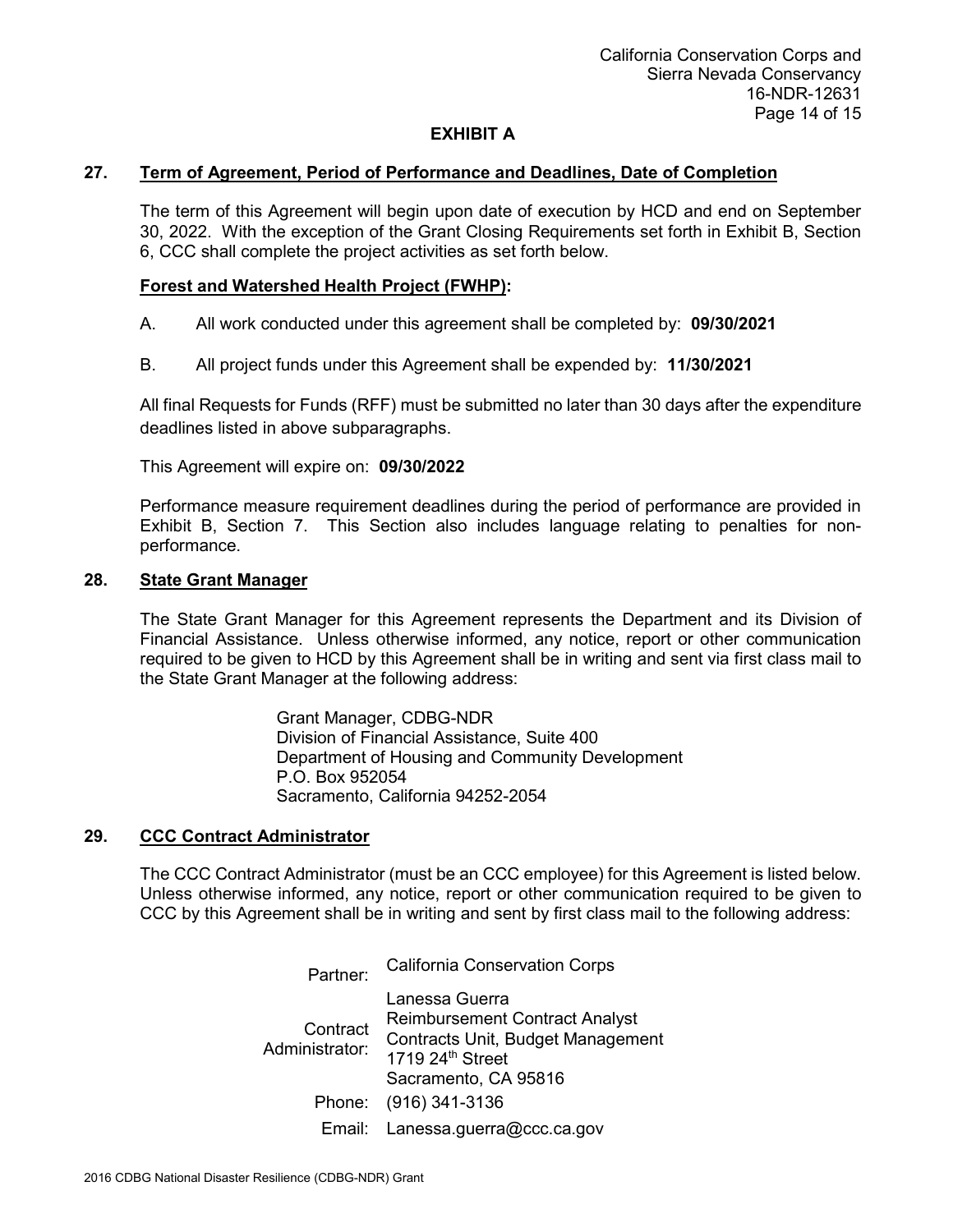### **27. Term of Agreement, Period of Performance and Deadlines, Date of Completion**

The term of this Agreement will begin upon date of execution by HCD and end on September 30, 2022. With the exception of the Grant Closing Requirements set forth in Exhibit B, Section 6, CCC shall complete the project activities as set forth below.

## **Forest and Watershed Health Project (FWHP):**

- A. All work conducted under this agreement shall be completed by: **09/30/2021**
- B. All project funds under this Agreement shall be expended by: **11/30/2021**

All final Requests for Funds (RFF) must be submitted no later than 30 days after the expenditure deadlines listed in above subparagraphs.

This Agreement will expire on: **09/30/2022**

Performance measure requirement deadlines during the period of performance are provided in Exhibit B, Section 7. This Section also includes language relating to penalties for nonperformance.

### **28. State Grant Manager**

The State Grant Manager for this Agreement represents the Department and its Division of Financial Assistance. Unless otherwise informed, any notice, report or other communication required to be given to HCD by this Agreement shall be in writing and sent via first class mail to the State Grant Manager at the following address:

> Grant Manager, CDBG-NDR Division of Financial Assistance, Suite 400 Department of Housing and Community Development P.O. Box 952054 Sacramento, California 94252-2054

### **29. CCC Contract Administrator**

The CCC Contract Administrator (must be an CCC employee) for this Agreement is listed below. Unless otherwise informed, any notice, report or other communication required to be given to CCC by this Agreement shall be in writing and sent by first class mail to the following address:

> California Conservation Corps Partner: Lanessa Guerra Reimbursement Contract Analyst<br>Administrator: Contracts Unit, Budget Management<br>1719 24<sup>th</sup> Street Sacramento, CA 95816 Phone: (916) 341-3136 Email: Lanessa.guerra@ccc.ca.gov